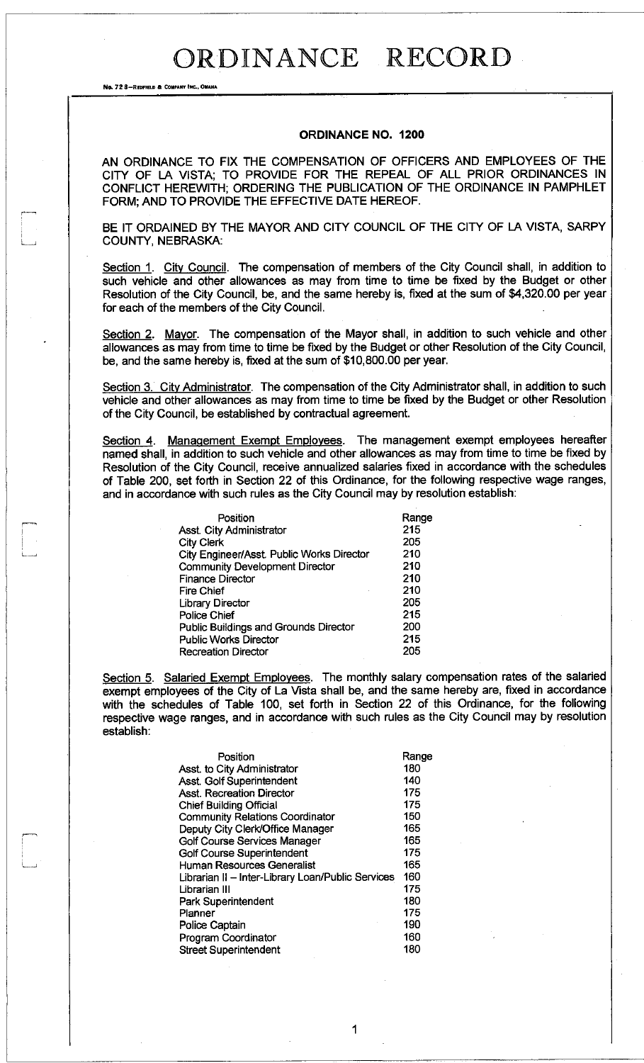No. 72 8-REDFIELD & COMPANY INC., OMAHA

#### **ORDINANCE NO. 1200**

AN ORDINANCE TO FIX THE COMPENSATION OF OFFICERS AND EMPLOYEES OF THE CITY OF LA VISTA; TO PROVIDE FOR THE REPEAL OF ALL PRIOR ORDINANCES IN CONFLICT HEREWITH; ORDERING THE PUBLICATION OF THE ORDINANCE IN PAMPHLET FORM; AND TO PROVIDE THE EFFECTIVE DATE HEREOF.

BE IT ORDAINED BY THE MAYOR AND CITY COUNCIL OF THE CITY OF LA VISTA, SARPY COUNTY, NEBRASKA:

Section 1. City Council. The compensation of members of the City Council shall, in addition to such vehicle and other allowances as may from time to time be fixed by the Budget or other Resolution of the City Council, be, and the same hereby is, fixed at the sum of \$4,320.00 per year for each of the members of the City Council.

Section 2. Mayor. The compensation of the Mayor shall, in addition to such vehicle and other allowances as may from time to time be fixed by the Budget or other Resolution of the City Council, be, and the same hereby is, fixed at the sum of \$10,800.00 per year.

Section 3. City Administrator. The compensation of the City Administrator shall, in addition to such vehicle and other allowances as may from time to time be fixed by the Budget or other Resolution of the City Council, be established by contractual agreement.

Section 4. Management Exempt Employees. The management exempt employees hereafter named shall, in addition to such vehicle and other allowances as may from time to time be fixed by Resolution of the City Council, receive annualized salaries fixed in accordance with the schedules of Table 200, set forth in Section 22 of this Ordinance, for the following respective wage ranges, and in accordance with such rules as the City Council may by resolution establish:

| Range |
|-------|
| 215   |
| 205   |
| 210   |
| 210   |
| 210   |
| 210   |
| 205   |
| 215   |
| 200   |
| 215   |
| 205   |
|       |

Section 5. Salaried Exempt Employees. The monthly salary compensation rates of the salaried exempt employees of the City of La Vista shall be, and the same hereby are, fixed in accordance with the schedules of Table 100, set forth in Section 22 of this Ordinance, for the following respective wage ranges, and in accordance with such rules as the City Council may by resolution establish:

1

| Position                                          | Range |
|---------------------------------------------------|-------|
| Asst. to City Administrator                       | 180   |
| Asst. Golf Superintendent                         | 140   |
| <b>Asst. Recreation Director</b>                  | 175   |
| <b>Chief Building Official</b>                    | 175   |
| <b>Community Relations Coordinator</b>            | 150   |
| Deputy City Clerk/Office Manager                  | 165   |
| Golf Course Services Manager                      | 165   |
| Golf Course Superintendent                        | 175   |
| <b>Human Resources Generalist</b>                 | 165   |
| Librarian II - Inter-Library Loan/Public Services | 160   |
| Librarian III                                     | 175   |
| Park Superintendent                               | 180   |
| Planner                                           | 175   |
| Police Captain                                    | 190   |
| Program Coordinator                               | 160   |
| <b>Street Superintendent</b>                      | 180   |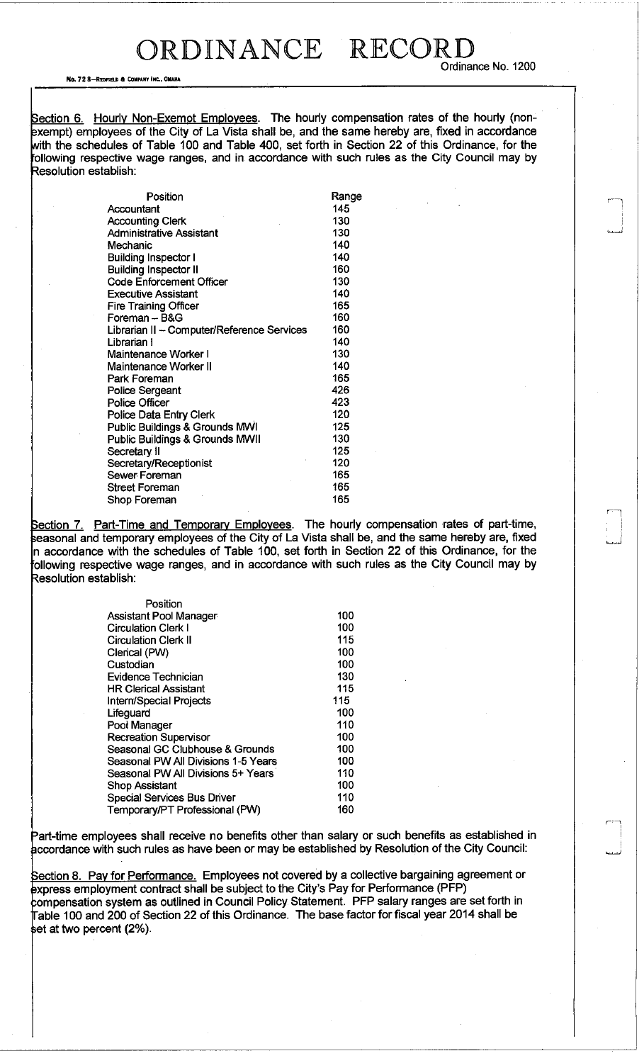No. 72 8-REDFIELD & COMPANY INC., OMAHA

Section 6. Hourly Non-Exemot Employees. The hourly compensation rates of the hourly (nonexempt) employees of the City of La Vista shall be, and the same hereby are, fixed in accordance with the schedules of Table 100 and Table 400, set forth in Section 22 of this Ordinance, for the following respective wage ranges, and in accordance with such rules as the City Council may by Resolution establish:

| Position                                   | Range |
|--------------------------------------------|-------|
| Accountant                                 | 145   |
| <b>Accounting Clerk</b>                    | 130   |
| <b>Administrative Assistant</b>            | 130   |
| Mechanic                                   | 140   |
| <b>Building Inspector I</b>                | 140   |
| <b>Building Inspector II</b>               | 160   |
| <b>Code Enforcement Officer</b>            | 130   |
| <b>Executive Assistant</b>                 | 140   |
| <b>Fire Training Officer</b>               | 165   |
| Foreman -- B&G                             | 160   |
| Librarian II - Computer/Reference Services | 160   |
| Librarian I                                | 140   |
| Maintenance Worker I                       | 130   |
| Maintenance Worker II                      | 140   |
| Park Foreman                               | 165   |
| <b>Police Sergeant</b>                     | 426   |
| <b>Police Officer</b>                      | 423   |
| Police Data Entry Clerk                    | 120   |
| <b>Public Buildings &amp; Grounds MWI</b>  | 125   |
| <b>Public Buildings &amp; Grounds MWII</b> | 130   |
| Secretary II                               | 125   |
| Secretary/Receptionist                     | 120   |
| Sewer Foreman                              | 165   |
| Street Foreman                             | 165   |
| Shop Foreman                               | 165   |

Section 7. Part-Time and Temporary Employees. The hourly compensation rates of part-time, seasonal and temporary employees of the City of La Vista shall be, and the same hereby are, fixed n accordance with the schedules of Table 100, set forth in Section 22 of this Ordinance, for the following respective wage ranges, and in accordance with such rules as the City Council may by Resolution establish:

| Position                            |     |
|-------------------------------------|-----|
| <b>Assistant Pool Manager</b>       | 100 |
| <b>Circulation Clerk I</b>          | 100 |
| <b>Circulation Clerk II</b>         | 115 |
| Clerical (PW)                       | 100 |
| Custodian                           | 100 |
| <b>Evidence Technician</b>          | 130 |
| <b>HR Clerical Assistant</b>        | 115 |
| Intern/Special Projects             | 115 |
| Lifeguard                           | 100 |
| Pool Manager                        | 110 |
| <b>Recreation Supervisor</b>        | 100 |
| Seasonal GC Clubhouse & Grounds     | 100 |
| Seasonal PW All Divisions 1-5 Years | 100 |
| Seasonal PW All Divisions 5+ Years  | 110 |
| Shop Assistant                      | 100 |
| <b>Special Services Bus Driver</b>  | 110 |
| Temporary/PT Professional (PW)      | 160 |

Part-time employees shall receive no benefits other than salary or such benefits as established in accordance with such rules as have been or may be established by Resolution of the City Council:

Section 8. Pay for Performance. Employees not covered by a collective bargaining agreement or express employment contract shall be subject to the City's Pay for Performance (PFP) compensation system as outlined in Council Policy Statement. PFP salary ranges are set forth in Table 100 and 200 of Section 22 of this Ordinance. The base factor for fiscal year 2014 shall be  $\operatorname{\mathsf{set}}$  at two percent (2%).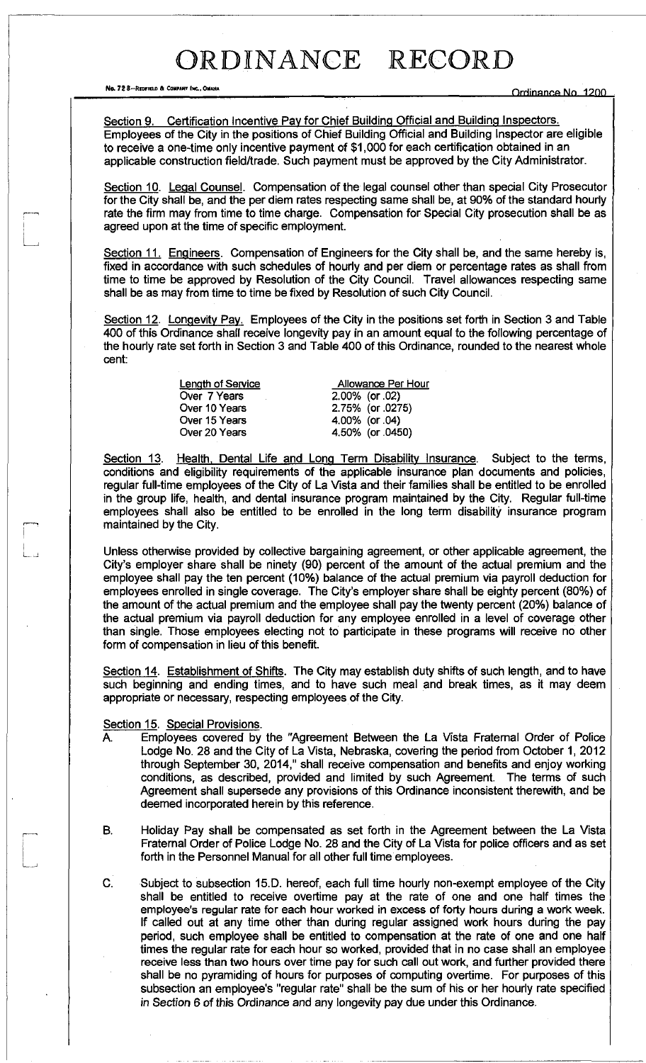No. 72 8-REDFIELD & COMPARY INC., OMAHA COMPARY INC., OMAHA ORHINAN COMPARY INC. 1200

Section 9. Certification Incentive Pay for Chief Building Official and Building Inspectors. Employees of the City in the positions of Chief Building Official and Building Inspector are eligible to receive a one-time only incentive payment of \$1,000 for each certification obtained in an applicable construction field/trade. Such payment must be approved by the City Administrator.

Section 10. Legal Counsel. Compensation of the legal counsel other than special City Prosecutor for the City shall be, and the per diem rates respecting same shall be, at 90% of the standard hourly rate the firm may from time to time charge. Compensation for Special City prosecution shall be as agreed upon at the time of specific employment.

Section 11. Engineers. Compensation of Engineers for the City shall be, and the same hereby is, fixed in accordance with such schedules of hourly and per diem or percentage rates as shall from time to time be approved by Resolution of the City Council. Travel allowances respecting same shall be as may from time to time be fixed by Resolution of such City Council.

Section 12. Longevity Pay. Employees of the City in the positions set forth in Section 3 and Table 400 of this Ordinance shall receive longevity pay in an amount equal to the following percentage of the hourly rate set forth in Section 3 and Table 400 of this Ordinance, rounded to the nearest whole cent:

> Over 7 Years Over 10 Years Over 15 Years Over 20 Years

Length of Service **Allowance Per Hour** 2.00% (or .02) 2.75% (or .0275) 4.00% (or .04) 4.50% (or .0450)

Section 13. Health, Dental Life and Long Term Disability Insurance. Subject to the terms, conditions and eligibility requirements of the applicable insurance plan documents and policies, regular full-time employees of the City of La Vista and their families shall be entitled to be enrolled in the group life, health, and dental insurance program maintained by the City. Regular full-time employees shall also be entitled to be enrolled in the long term disability insurance program maintained by the City.

Unless otherwise provided by collective bargaining agreement, or other applicable agreement, the City's employer share shall be ninety (90) percent of the amount of the actual premium and the employee shall pay the ten percent (10%) balance of the actual premium via payroll deduction for employees enrolled in single coverage. The City's employer share shall be eighty percent (80%) of the amount of the actual premium and the employee shall pay the twenty percent (20%) balance of the actual premium via payroll deduction for any employee enrolled in a level of coverage other than single. Those employees electing not to participate in these programs will receive no other form of compensation in lieu of this benefit

Section 14. Establishment of Shifts. The City may establish duty shifts of such length, and to have such beginning and ending times, and to have such meal and break times, as it may deem appropriate or necessary, respecting employees of the City.

#### Section 15. Special Provisions.

 $\lfloor$ 

- A. Employees covered by the "Agreement Between the La Vista Fraternal Order of Police Lodge No. 28 and the City of La Vista, Nebraska, covering the period from October 1, 2012 through September 30, 2014," shall receive compensation and benefits and enjoy working conditions, as described, provided and limited by such Agreement. The terms of such Agreement shall supersede any provisions of this Ordinance inconsistent therewith, and be deemed incorporated herein by this reference.
- B. Holiday Pay shall be compensated as set forth in the Agreement between the La Vista Fraternal Order of Police Lodge No. 28 and the City of La Vista for police officers and as set forth in the Personnel Manual for all other full time employees.
- C. Subject to subsection 15.D. hereof, each full time hourly non-exempt employee of the City shall be entitled to receive overtime pay at the rate of one and one half times the employee's regular rate for each hour worked in excess of forty hours during a work week. If called out at any time other than during regular assigned work hours during the pay period, such employee shall be entitled to compensation at the rate of one and one half times the regular rate for each hour so worked, provided that in no case shall an employee receive less than two hours over time pay for such call out work, and further provided there shall be no pyramiding of hours for purposes of computing overtime. For purposes of this subsection an employee's "regular rate" shall be the sum of his or her hourly rate specified *in Section* 6 of this Ordinance and any longevity pay due under this Ordinance.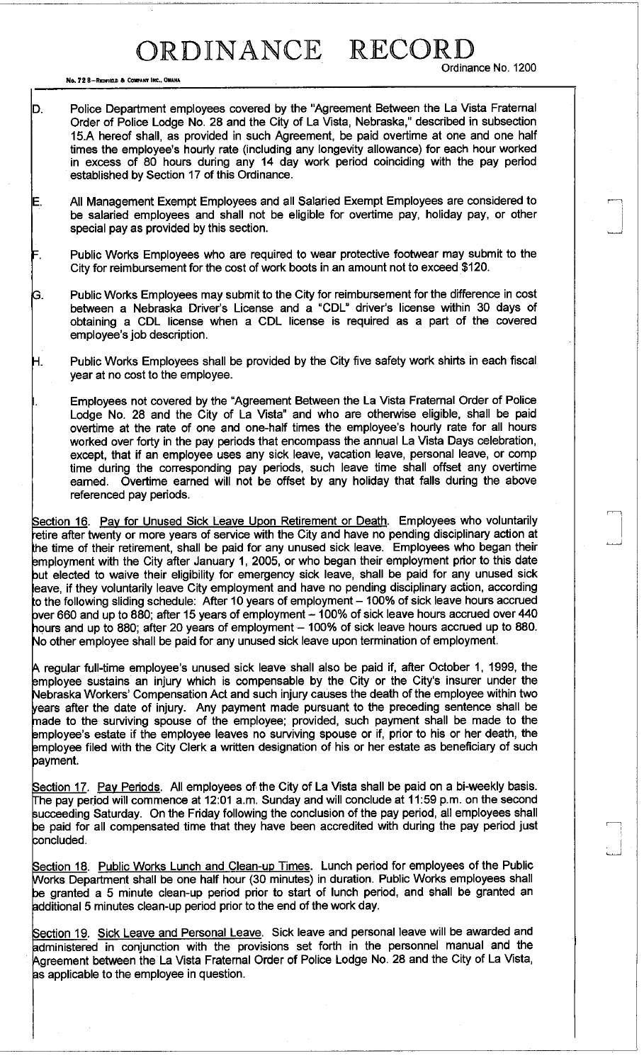Ordinance No. 1200

No. 72 8-REDFIELD & COMPANY INC., OMAHA

D. Police Department employees covered by the "Agreement Between the La Vista Fraternal Order of Police Lodge No. 28 and the City of La Vista, Nebraska," described in subsection 15.A hereof shall, as provided in such Agreement, be paid overtime at one and one half times the employee's hourly rate (including any longevity allowance) for each hour worked in excess of 80 hours during any 14 day work period coinciding with the pay period established by Section 17 of this Ordinance.

E. All Management Exempt Employees and all Salaried Exempt Employees are considered to be salaried employees and shall not be eligible for overtime pay, holiday pay, or other special pay as provided by this section.

= . Public Works Employees who are required to wear protective footwear may submit to the City for reimbursement for the cost of work boots in an amount not to exceed \$120.

G. Public Works Employees may submit to the City for reimbursement for the difference in cost between a Nebraska Driver's License and a "CDL" driver's license within 30 days of obtaining a CDL license when a CDL license is required as a part of the covered employee's job description.

H. Public Works Employees shall be provided by the City five safety work shirts in each fiscal year at no cost to the employee.

Employees not covered by the "Agreement Between the La Vista Fraternal Order of Police Lodge No. 28 and the City of La Vista" and who are otherwise eligible, shall be paid overtime at the rate of one and one-half times the employee's hourly rate for all hours worked over forty in the pay periods that encompass the annual La Vista Days celebration, except, that if an employee uses any sick leave, vacation leave, personal leave, or comp time during the corresponding pay periods, such leave time shall offset any overtime earned. Overtime earned will not be offset by any holiday that falls during the above referenced pay periods.

Section 16. Pay for Unused Sick Leave Upon Retirement or Death. Employees who voluntarily retire after twenty or more years of service with the City and have no pending disciplinary action at the time of their retirement, shall be paid for any unused sick leave. Employees who began their employment with the City after January 1, 2005, or who began their employment prior to this date but elected to waive their eligibility for emergency sick leave, shall be paid for any unused sick eave, if they voluntarily leave City employment and have no pending disciplinary action, according to the following sliding schedule: After 10 years of employment – 100% of sick leave hours accrued  $\,$  bver 660 and up to 880; after 15 years of employment – 100% of sick leave hours accrued over 440 hours and up to 880; after 20 years of employment - 100% of sick leave hours accrued up to 880. Mo other employee shall be paid for any unused sick leave upon termination of employment.

A regular full-time employee's unused sick leave shall also be paid if, after October 1, 1999, the employee sustains an injury which is compensable by the City or the City's insurer under the Nebraska Workers' Compensation Act and such injury causes the death of the employee within two /ears after the date of injury. Any payment made pursuant to the preceding sentence shall be made to the surviving spouse of the employee; provided, such payment shall be made to the employee's estate if the employee leaves no surviving spouse or if, prior to his or her death, the employee filed with the City Clerk a written designation of his or her estate as beneficiary of such payment.

Section 17. Pay Periods. All employees of the City of La Vista shall be paid on a bi-weekly basis. The pay period will commence at 12:01 a.m. Sunday and will conclude at 11:59 p.m. on the second succeeding Saturday. On the Friday following the conclusion of the pay period, all employees shall be paid for all compensated time that they have been accredited with during the pay period just concluded.

Section 18. Public Works Lunch and Clean-up Times. Lunch period for employees of the Public Works Department shall be one half hour (30 minutes) in duration. Public Works employees shall be granted a 5 minute clean-up period prior to start of lunch period, and shall be granted an additional 5 minutes clean-up period prior to the end of the work day.

Section 19. Sick Leave and Personal Leave. Sick leave and personal leave will be awarded and administered in conjunction with the provisions set forth in the personnel manual and the Agreement between the La Vista Fraternal Order of Police Lodge No. 28 and the City of La Vista, as applicable to the employee in question.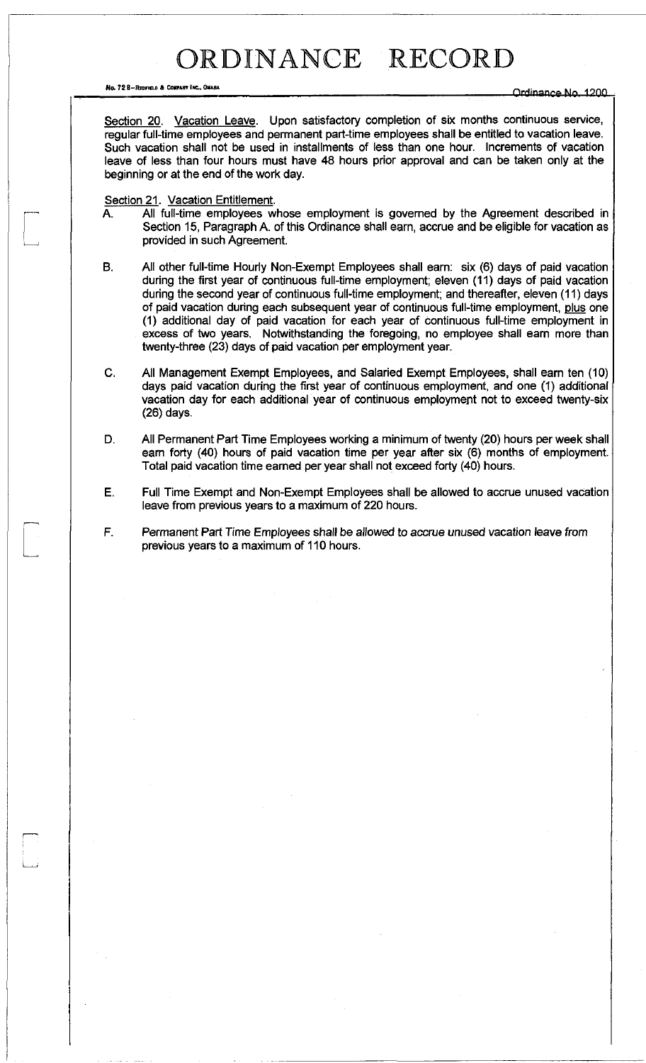No. 72 B-Reditied & Company Inc., Omaria

Section 20. Vacation Leave. Upon satisfactory completion of six months continuous service, regular full-time employees and permanent part-time employees shall be entitled to vacation leave. Such vacation shall not be used in installments of less than one hour. Increments of vacation leave of less than four hours must have 48 hours prior approval and can be taken only at the beginning or at the end of the work day.

Section 21. Vacation Entitlement.

- A. All full-time employees whose employment is governed by the Agreement described in Section 15, Paragraph A. of this Ordinance shall earn, accrue and be eligible for vacation as provided in such Agreement.
- B. All other full-time Hourly Non-Exempt Employees shall earn: six (6) days of paid vacation during the first year of continuous full-time employment; eleven (11) days of paid vacation during the second year of continuous full-time employment; and thereafter, eleven (11) days of paid vacation during each subsequent year of continuous full-time employment, plus one (1) additional day of paid vacation for each year of continuous full-time employment in excess of two years. Notwithstanding the foregoing, no employee shall earn more than twenty-three (23) days of paid vacation per employment year.
- C. All Management Exempt Employees, and Salaried Exempt Employees, shall earn ten (10) days paid vacation during the first year of continuous employment, and one (1) additional vacation day for each additional year of continuous employment not to exceed twenty-six (26) days.
- D. All Permanent Part Time Employees working a minimum of twenty (20) hours per week shall earn forty (40) hours of paid vacation time per year after six (6) months of employment. Total paid vacation time earned per year shall not exceed forty (40) hours.
- E. Full Time Exempt and Non-Exempt Employees shall be allowed to accrue unused vacation leave from previous years to a maximum of 220 hours.
- F. Permanent Part Time Employees shall be allowed to accrue unused vacation leave *from*  previous years to a maximum of 110 hours.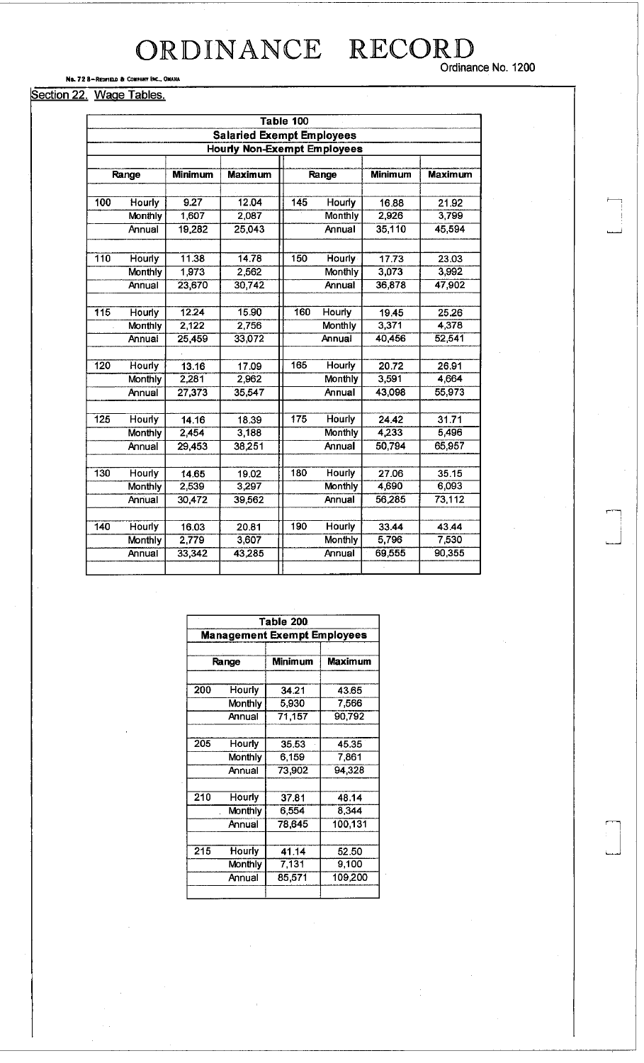Ordinance No. 1200

#### No. 72 8-REDFIELD & COMPANY INC., OMAHA

|  | Section 22. Wage Tables. |
|--|--------------------------|
|--|--------------------------|

| Table 100                          |                |                |                |     |                |                |                |  |  |  |
|------------------------------------|----------------|----------------|----------------|-----|----------------|----------------|----------------|--|--|--|
| <b>Salaried Exempt Employees</b>   |                |                |                |     |                |                |                |  |  |  |
| <b>Hourly Non-Exempt Employees</b> |                |                |                |     |                |                |                |  |  |  |
|                                    |                |                |                |     |                |                |                |  |  |  |
|                                    | Range          | <b>Minimum</b> | <b>Maximum</b> |     | Range          | <b>Minimum</b> | <b>Maximum</b> |  |  |  |
|                                    |                |                |                |     |                |                |                |  |  |  |
| 100                                | Hourly         | 9.27           | 12.04          | 145 | Hourly         | 16.88          | 21.92          |  |  |  |
|                                    | Monthly        | 1,607          | 2,087          |     | <b>Monthly</b> | 2,926          | 3,799          |  |  |  |
|                                    | Annual         | 19,282         | 25,043         |     | Annual         | 35,110         | 45,594         |  |  |  |
| 110                                | Hourly         | 11.38          | 14.78          | 150 | Hourly         | 17.73          | 23.03          |  |  |  |
|                                    |                |                |                |     |                | 3,073          | 3,992          |  |  |  |
|                                    | <b>Monthly</b> | 1,973          | 2,562          |     | Monthly        |                |                |  |  |  |
|                                    | Annual         | 23,670         | 30,742         |     | Annual         | 36,878         | 47,902         |  |  |  |
| 115                                | Hourly         | 12.24          | 15.90          | 160 | <b>Hourly</b>  | 19.45          | 25.26          |  |  |  |
|                                    | <b>Monthly</b> | 2,122          | 2,756          |     | <b>Monthly</b> | 3,371          | 4,378          |  |  |  |
|                                    | Annual         | 25,459         | 33,072         |     | Annual         | 40,456         | 52,541         |  |  |  |
|                                    |                |                |                |     |                |                |                |  |  |  |
| 120                                | Hourly         | 13.16          | 17.09          | 165 | Hourly         | 20.72          | 26.91          |  |  |  |
|                                    | <b>Monthly</b> | 2,281          | 2,962          |     | <b>Monthly</b> | 3,591          | 4,664          |  |  |  |
|                                    | Annual         | 27,373         | 35,547         |     | Annual         | 43,098         | 55,973         |  |  |  |
| $\overline{125}$                   |                |                |                | 175 | Hourly         | 24.42          | 31.71          |  |  |  |
|                                    | <b>Hourly</b>  | 14.16<br>2,454 | 18.39<br>3,188 |     | <b>Monthly</b> | 4 2 3 3        | 5,496          |  |  |  |
|                                    | Monthly        |                |                |     |                |                |                |  |  |  |
|                                    | Annual         | 29,453         | 38,251         |     | Annual         | 50,794         | 65,957         |  |  |  |
| 130                                | <b>Hourly</b>  | 14.65          | 19.02          | 180 | <b>Hourly</b>  | 27.06          | 35.15          |  |  |  |
|                                    | Monthly        | 2,539          | 3,297          |     | <b>Monthly</b> | 4,690          | 6,093          |  |  |  |
|                                    | Annual         | 30,472         | 39,562         |     | Annual         | 56,285         | 73,112         |  |  |  |
|                                    |                |                |                |     |                |                |                |  |  |  |
| 140                                | Hourly         | 16.03          | 20.81          | 190 | Hourly         | 33.44          | 43.44          |  |  |  |
|                                    | <b>Monthly</b> | 2,779          | 3,607          |     | Monthly        | 5,796          | 7,530          |  |  |  |
|                                    | Annual         | 33,342         | 43,285         |     | Annual         | 69,555         | 90,355         |  |  |  |
|                                    |                |                |                |     |                |                |                |  |  |  |

| Table 200<br><b>Management Exempt Employees</b> |         |        |         |  |  |  |
|-------------------------------------------------|---------|--------|---------|--|--|--|
|                                                 |         |        |         |  |  |  |
| 200                                             | Hourly  | 34.21  | 43.65   |  |  |  |
|                                                 | Monthly | 5,930  | 7,566   |  |  |  |
|                                                 | Annual  | 71,157 | 90,792  |  |  |  |
| 205                                             | Hourly  | 35.53  | 45.35   |  |  |  |
|                                                 | Monthly | 6,159  | 7,861   |  |  |  |
|                                                 | Annual  | 73,902 | 94,328  |  |  |  |
| 210                                             | Hourly  | 37.81  | 48.14   |  |  |  |
|                                                 | Monthly | 6.554  | 8.344   |  |  |  |
|                                                 | Annual  | 78.645 | 100,131 |  |  |  |
| 215                                             | Hourly  | 41.14  | 52.50   |  |  |  |
|                                                 | Monthly | 7,131  | 9,100   |  |  |  |
|                                                 | Annual  | 85,571 | 109,200 |  |  |  |
|                                                 |         |        |         |  |  |  |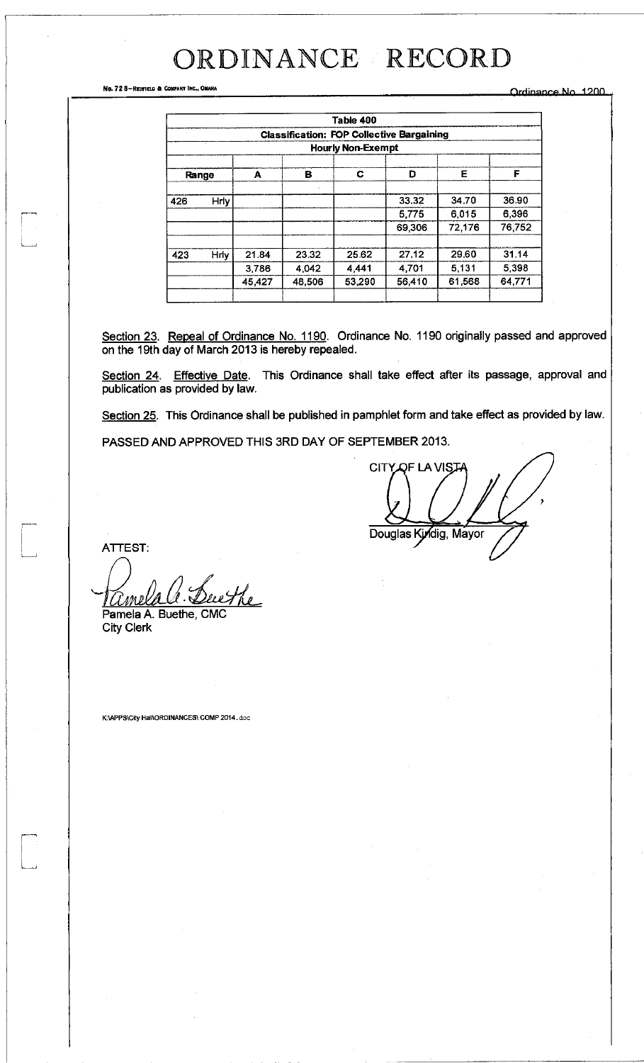No. 72 8-REDTIELD & COMPANY INC., OMAKA **ORREST A COMPANY INC.** ORREST A COMPANY INC.

|                                | Table 400                                        |                |                |                |                |                |                |  |  |  |
|--------------------------------|--------------------------------------------------|----------------|----------------|----------------|----------------|----------------|----------------|--|--|--|
|                                | <b>Classification: FOP Collective Bargaining</b> |                |                |                |                |                |                |  |  |  |
|                                | <b>Hourly Non-Exempt</b>                         |                |                |                |                |                |                |  |  |  |
| Е<br>D<br>C<br>в<br>A<br>Range |                                                  |                |                |                |                |                |                |  |  |  |
| 426                            | <b>Hrly</b>                                      |                | ÷.             |                | 33.32          | 34.70          | 36.90          |  |  |  |
|                                |                                                  |                |                |                | 5,775          | 6.015          | 6,396          |  |  |  |
|                                |                                                  |                |                |                | 69,306         | 72,176         | 76,752         |  |  |  |
|                                |                                                  |                |                |                |                |                |                |  |  |  |
| 423                            | Hrly                                             | 21.84<br>3,786 | 23.32<br>4,042 | 25.62<br>4.441 | 27.12<br>4,701 | 29.60<br>5,131 | 31.14<br>5,398 |  |  |  |
|                                |                                                  | 45,427         | 48,506         | 53,290         | 56,410         | 61,568         | 64,771         |  |  |  |
|                                |                                                  |                |                |                |                |                |                |  |  |  |

Section 23. Repeal of Ordinance No. 1190. Ordinance No. 1190 originally passed and approved on the 19th day of March 2013 is hereby repealed.

Section 24. Effective Date. This Ordinance shall take effect after its passage, approval and publication as provided by law.

Section 25. This Ordinance shall be published in pamphlet form and take effect as provided by law.

PASSED AND APPROVED THIS 3RD DAY OF SEPTEMBER 2013.

CITY OF LA VIST Douglas Kyndig, Mayor

ATTEST:

wthe 'I Ml Pamela A. Buethe, CMC

City Clerk

K:\APPS\City Hall\ORDINANCES\ COMP 2014.doc